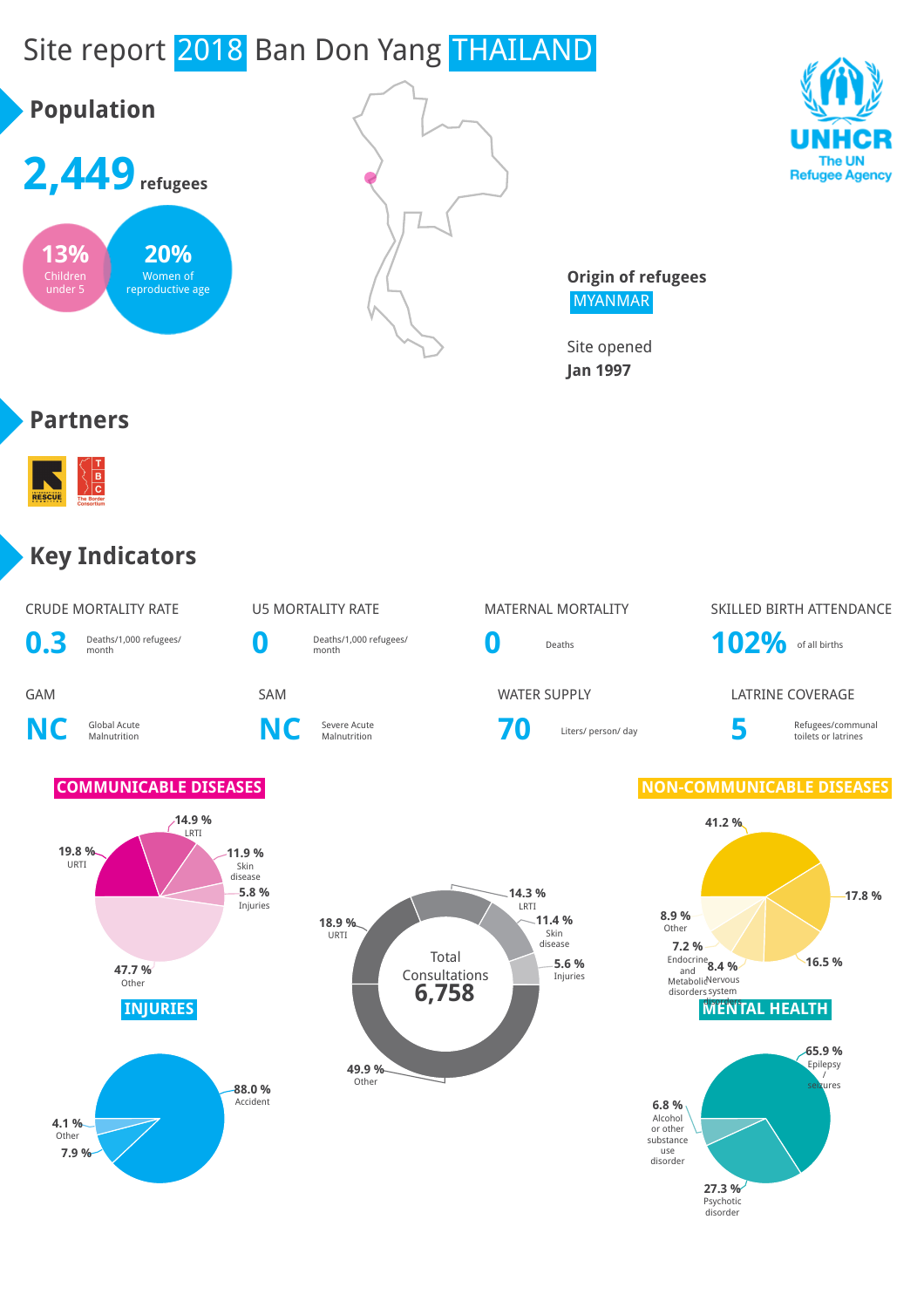# Site report 2018 Ban Don Yang THAILAND





**Origin of refugees** MYANMAR

> **27.3 %** Psychotic disorder

Site opened **Jan 1997**

#### **Partners**



#### **Key Indicators**

| 0.3                     | <b>CRUDE MORTALITY RATE</b><br>Deaths/1,000 refugees/<br>month                                                       | O                 | <b>U5 MORTALITY RATE</b><br>Deaths/1,000 refugees/<br>month | O              | <b>MATERNAL MORTALITY</b><br>Deaths              | 102% of all births                                                                                                                                            | SKILLED BIRTH ATTENDANCE                                            |
|-------------------------|----------------------------------------------------------------------------------------------------------------------|-------------------|-------------------------------------------------------------|----------------|--------------------------------------------------|---------------------------------------------------------------------------------------------------------------------------------------------------------------|---------------------------------------------------------------------|
| <b>GAM</b><br><b>NC</b> | Global Acute<br>Malnutrition                                                                                         | <b>SAM</b><br>NC  | Severe Acute<br>Malnutrition                                | 70             | <b>WATER SUPPLY</b><br>Liters/ person/ day       | 5                                                                                                                                                             | <b>LATRINE COVERAGE</b><br>Refugees/communal<br>toilets or latrines |
| 19.8 %<br>URTI          | <b>COMMUNICABLE DISEASES</b><br>$-14.9%$<br>LRTI<br>$-11.9%$<br>Skin<br>disease<br>47.7%<br>Other<br><b>INJURIES</b> | 5.8%<br>Injuries  | 18.9 %<br>URTI<br>Total<br>Consultations<br>6,758<br>49.9%  | .14.3%<br>LRTI | $-11.4%$<br>Skin<br>disease<br>5.6 %<br>Injuries | <b>NON-COMMUNICABLE DISEASES</b><br>41.2%<br>8.9%<br>Other<br>7.2%<br>Endocrine $8.4%$<br>MetabolieNervous<br>disorders system<br><b><i>MENTAL HEALTH</i></b> | $-17.8%$<br>16.5%<br>-65.9 %<br>Epilepsy                            |
| 4.1%<br>Other<br>7.9 %  |                                                                                                                      | 88.0%<br>Accident | Other                                                       |                |                                                  | 6.8%<br>Alcohol<br>or other<br>substance<br>use<br>disorder                                                                                                   | seizures                                                            |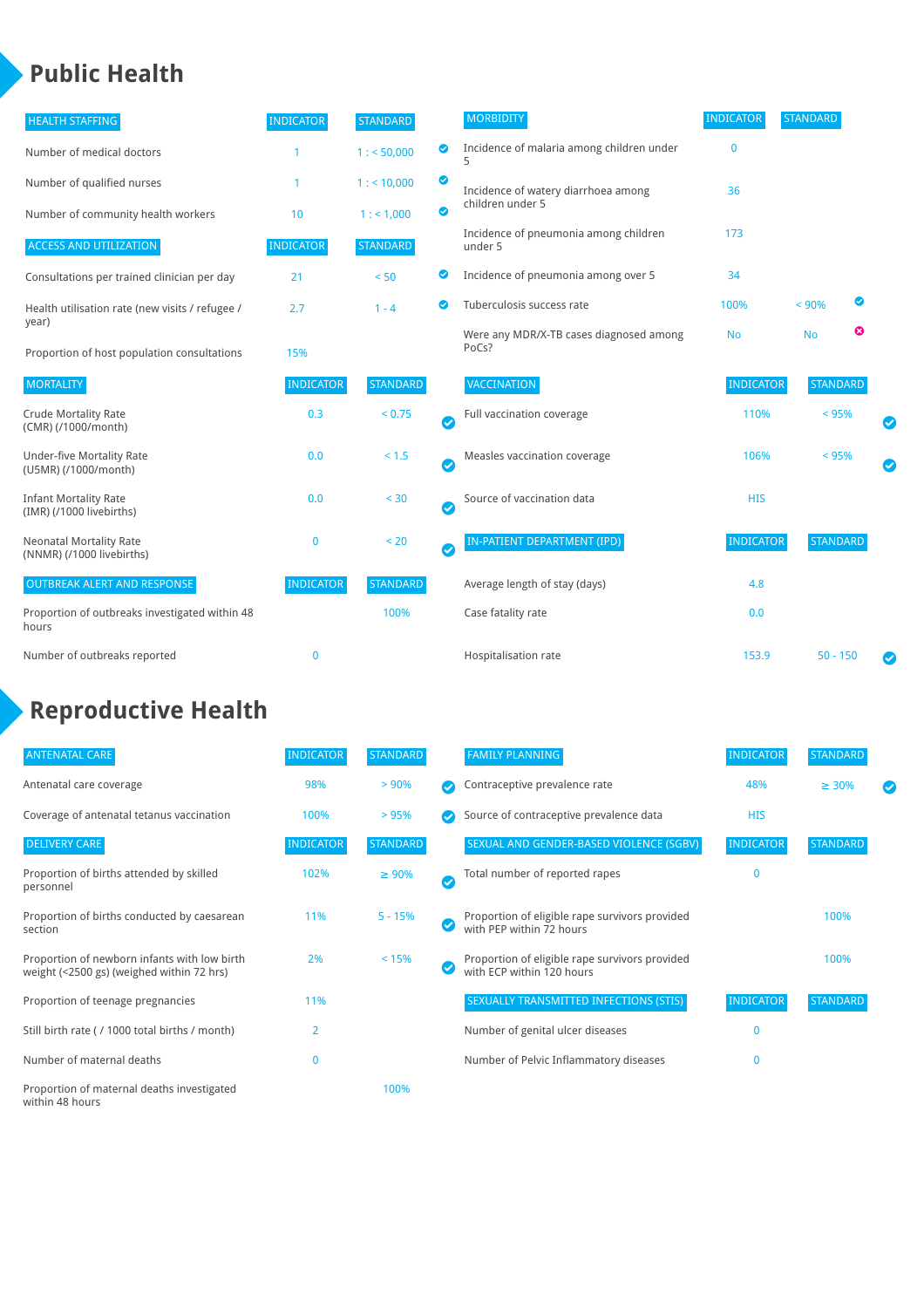## **Public Health**

| <b>HEALTH STAFFING</b>                                      | <b>INDICATOR</b> | <b>STANDARD</b> |           | <b>MORBIDITY</b>                                 | <b>INDICATOR</b> | <b>STANDARD</b> |   |  |
|-------------------------------------------------------------|------------------|-----------------|-----------|--------------------------------------------------|------------------|-----------------|---|--|
| Number of medical doctors                                   |                  | 1: 50,000       | ◎         | Incidence of malaria among children under        | 0                |                 |   |  |
| Number of qualified nurses                                  |                  | $1:$ < 10,000   | ◙         | Incidence of watery diarrhoea among              | 36               |                 |   |  |
| Number of community health workers                          | 10               | 1: 1,000        | ◙         | children under 5                                 |                  |                 |   |  |
| <b>ACCESS AND UTILIZATION</b>                               | <b>INDICATOR</b> | <b>STANDARD</b> |           | Incidence of pneumonia among children<br>under 5 | 173              |                 |   |  |
| Consultations per trained clinician per day                 | 21               | < 50            | ◙         | Incidence of pneumonia among over 5              | 34               |                 |   |  |
| Health utilisation rate (new visits / refugee /             | 2.7              | $1 - 4$         | ◙         | Tuberculosis success rate                        | 100%             | < 90%           | ◙ |  |
| year)<br>Proportion of host population consultations        | 15%              |                 |           | Were any MDR/X-TB cases diagnosed among<br>PoCs? | <b>No</b>        | <b>No</b>       | ☺ |  |
| <b>MORTALITY</b>                                            | <b>INDICATOR</b> | <b>STANDARD</b> |           | VACCINATION                                      | <b>INDICATOR</b> | <b>STANDARD</b> |   |  |
| <b>Crude Mortality Rate</b><br>(CMR) (/1000/month)          | 0.3              | < 0.75          | Ø         | Full vaccination coverage                        | 110%             | $< 95\%$        |   |  |
| <b>Under-five Mortality Rate</b><br>(U5MR) (/1000/month)    | 0.0              | $< 1.5$         | $\bullet$ | Measles vaccination coverage                     | 106%             | < 95%           |   |  |
| <b>Infant Mortality Rate</b><br>(IMR) (/1000 livebirths)    | 0.0              | < 30            | $\bullet$ | Source of vaccination data                       | <b>HIS</b>       |                 |   |  |
| <b>Neonatal Mortality Rate</b><br>(NNMR) (/1000 livebirths) | $\mathbf{0}$     | < 20            | $\bullet$ | <b>IN-PATIENT DEPARTMENT (IPD)</b>               | <b>INDICATOR</b> | <b>STANDARD</b> |   |  |
| <b>OUTBREAK ALERT AND RESPONSE</b>                          | <b>INDICATOR</b> | <b>STANDARD</b> |           | Average length of stay (days)                    | 4.8              |                 |   |  |
| Proportion of outbreaks investigated within 48<br>hours     |                  | 100%            |           | Case fatality rate                               | 0.0              |                 |   |  |
| Number of outbreaks reported                                | $\mathbf{0}$     |                 |           | Hospitalisation rate                             | 153.9            | $50 - 150$      |   |  |

# **Reproductive Health**

| <b>ANTENATAL CARE</b>                                                                     | <b>INDICATOR</b> | <b>STANDARD</b> |   | <b>FAMILY PLANNING</b>                                                      | <b>INDICATOR</b> | <b>STANDARD</b> |  |
|-------------------------------------------------------------------------------------------|------------------|-----------------|---|-----------------------------------------------------------------------------|------------------|-----------------|--|
| Antenatal care coverage                                                                   | 98%              | > 90%           |   | Contraceptive prevalence rate                                               | 48%              | $\geq 30\%$     |  |
| Coverage of antenatal tetanus vaccination                                                 | 100%             | >95%            |   | Source of contraceptive prevalence data                                     | <b>HIS</b>       |                 |  |
| <b>DELIVERY CARE</b>                                                                      | <b>INDICATOR</b> | <b>STANDARD</b> |   | SEXUAL AND GENDER-BASED VIOLENCE (SGBV)                                     | <b>INDICATOR</b> | <b>STANDARD</b> |  |
| Proportion of births attended by skilled<br>personnel                                     | 102%             | $\geq 90\%$     | Ø | Total number of reported rapes                                              | O                |                 |  |
| Proportion of births conducted by caesarean<br>section                                    | 11%              | $5 - 15%$       |   | Proportion of eligible rape survivors provided<br>with PEP within 72 hours  |                  | 100%            |  |
| Proportion of newborn infants with low birth<br>weight (<2500 gs) (weighed within 72 hrs) | 2%               | < 15%           |   | Proportion of eligible rape survivors provided<br>with ECP within 120 hours |                  | 100%            |  |
| Proportion of teenage pregnancies                                                         | 11%              |                 |   | SEXUALLY TRANSMITTED INFECTIONS (STIS)                                      | <b>INDICATOR</b> | <b>STANDARD</b> |  |
| Still birth rate (/1000 total births / month)                                             | $\overline{2}$   |                 |   | Number of genital ulcer diseases                                            | $\Omega$         |                 |  |
| Number of maternal deaths                                                                 | 0                |                 |   | Number of Pelvic Inflammatory diseases                                      | O                |                 |  |
| Proportion of maternal deaths investigated<br>within 48 hours                             |                  | 100%            |   |                                                                             |                  |                 |  |